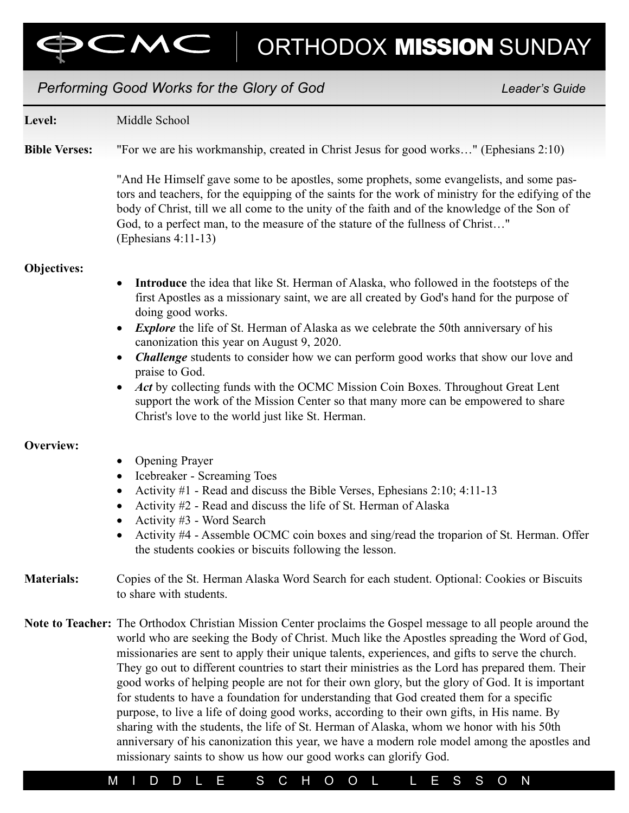ORTHODOX MISSION SUNDAY

# Performing Good Works for the Glory of God New York Changes and Leader's Guide

 $\Box$ 

| Level:               | Middle School                                                                                                                                                                                                                                                                                                                                                                                                                                                                                                                                                                                                                                                                                                                                                                                                                                                                                                                                                                      |  |  |  |  |  |  |
|----------------------|------------------------------------------------------------------------------------------------------------------------------------------------------------------------------------------------------------------------------------------------------------------------------------------------------------------------------------------------------------------------------------------------------------------------------------------------------------------------------------------------------------------------------------------------------------------------------------------------------------------------------------------------------------------------------------------------------------------------------------------------------------------------------------------------------------------------------------------------------------------------------------------------------------------------------------------------------------------------------------|--|--|--|--|--|--|
| <b>Bible Verses:</b> | "For we are his workmanship, created in Christ Jesus for good works" (Ephesians 2:10)                                                                                                                                                                                                                                                                                                                                                                                                                                                                                                                                                                                                                                                                                                                                                                                                                                                                                              |  |  |  |  |  |  |
|                      | "And He Himself gave some to be apostles, some prophets, some evangelists, and some pas-<br>tors and teachers, for the equipping of the saints for the work of ministry for the edifying of the<br>body of Christ, till we all come to the unity of the faith and of the knowledge of the Son of<br>God, to a perfect man, to the measure of the stature of the fullness of Christ"<br>$(Ephesians 4:11-13)$                                                                                                                                                                                                                                                                                                                                                                                                                                                                                                                                                                       |  |  |  |  |  |  |
| <b>Objectives:</b>   |                                                                                                                                                                                                                                                                                                                                                                                                                                                                                                                                                                                                                                                                                                                                                                                                                                                                                                                                                                                    |  |  |  |  |  |  |
|                      | Introduce the idea that like St. Herman of Alaska, who followed in the footsteps of the<br>$\bullet$<br>first Apostles as a missionary saint, we are all created by God's hand for the purpose of<br>doing good works.<br><i>Explore</i> the life of St. Herman of Alaska as we celebrate the 50th anniversary of his<br>$\bullet$<br>canonization this year on August 9, 2020.                                                                                                                                                                                                                                                                                                                                                                                                                                                                                                                                                                                                    |  |  |  |  |  |  |
|                      | <b>Challenge</b> students to consider how we can perform good works that show our love and<br>$\bullet$<br>praise to God.<br>Act by collecting funds with the OCMC Mission Coin Boxes. Throughout Great Lent<br>$\bullet$<br>support the work of the Mission Center so that many more can be empowered to share<br>Christ's love to the world just like St. Herman.                                                                                                                                                                                                                                                                                                                                                                                                                                                                                                                                                                                                                |  |  |  |  |  |  |
| Overview:            |                                                                                                                                                                                                                                                                                                                                                                                                                                                                                                                                                                                                                                                                                                                                                                                                                                                                                                                                                                                    |  |  |  |  |  |  |
|                      | <b>Opening Prayer</b><br>$\bullet$                                                                                                                                                                                                                                                                                                                                                                                                                                                                                                                                                                                                                                                                                                                                                                                                                                                                                                                                                 |  |  |  |  |  |  |
|                      | Icebreaker - Screaming Toes<br>$\bullet$<br>Activity #1 - Read and discuss the Bible Verses, Ephesians 2:10; 4:11-13<br>$\bullet$<br>Activity #2 - Read and discuss the life of St. Herman of Alaska<br>$\bullet$<br>Activity #3 - Word Search<br>$\bullet$<br>Activity #4 - Assemble OCMC coin boxes and sing/read the troparion of St. Herman. Offer<br>$\bullet$                                                                                                                                                                                                                                                                                                                                                                                                                                                                                                                                                                                                                |  |  |  |  |  |  |
|                      | the students cookies or biscuits following the lesson.                                                                                                                                                                                                                                                                                                                                                                                                                                                                                                                                                                                                                                                                                                                                                                                                                                                                                                                             |  |  |  |  |  |  |
| <b>Materials:</b>    | Copies of the St. Herman Alaska Word Search for each student. Optional: Cookies or Biscuits<br>to share with students.                                                                                                                                                                                                                                                                                                                                                                                                                                                                                                                                                                                                                                                                                                                                                                                                                                                             |  |  |  |  |  |  |
|                      | Note to Teacher: The Orthodox Christian Mission Center proclaims the Gospel message to all people around the<br>world who are seeking the Body of Christ. Much like the Apostles spreading the Word of God,<br>missionaries are sent to apply their unique talents, experiences, and gifts to serve the church.<br>They go out to different countries to start their ministries as the Lord has prepared them. Their<br>good works of helping people are not for their own glory, but the glory of God. It is important<br>for students to have a foundation for understanding that God created them for a specific<br>purpose, to live a life of doing good works, according to their own gifts, in His name. By<br>sharing with the students, the life of St. Herman of Alaska, whom we honor with his 50th<br>anniversary of his canonization this year, we have a modern role model among the apostles and<br>missionary saints to show us how our good works can glorify God. |  |  |  |  |  |  |

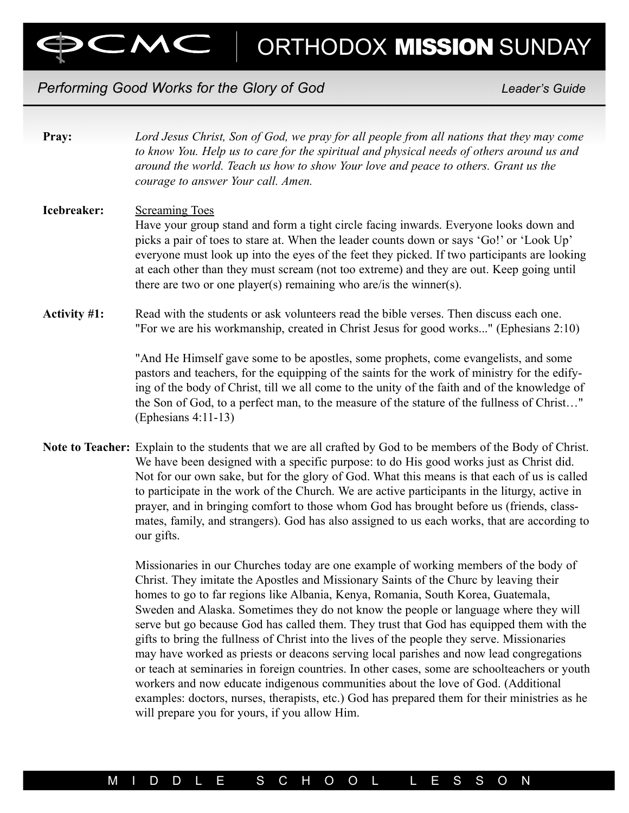ORTHODOX MISSION SUNDAY

## Performing Good Works for the Glory of God New York Changes and Leader's Guide

| Pray:               | Lord Jesus Christ, Son of God, we pray for all people from all nations that they may come<br>to know You. Help us to care for the spiritual and physical needs of others around us and<br>around the world. Teach us how to show Your love and peace to others. Grant us the<br>courage to answer Your call. Amen.                                                                                                                                                           |
|---------------------|------------------------------------------------------------------------------------------------------------------------------------------------------------------------------------------------------------------------------------------------------------------------------------------------------------------------------------------------------------------------------------------------------------------------------------------------------------------------------|
| Icebreaker:         | <b>Screaming Toes</b><br>Have your group stand and form a tight circle facing inwards. Everyone looks down and<br>picks a pair of toes to stare at. When the leader counts down or says 'Go!' or 'Look Up'<br>everyone must look up into the eyes of the feet they picked. If two participants are looking<br>at each other than they must scream (not too extreme) and they are out. Keep going until<br>there are two or one player(s) remaining who are/is the winner(s). |
| <b>Activity #1:</b> | Read with the students or ask volunteers read the bible verses. Then discuss each one.<br>"For we are his workmanship, created in Christ Jesus for good works" (Ephesians 2:10)<br>"And He Himself gave some to be apostles, some prophets, come evangelists, and some                                                                                                                                                                                                       |
|                     | pastors and teachers, for the equipping of the saints for the work of ministry for the edify-<br>ing of the body of Christ, till we all come to the unity of the faith and of the knowledge of<br>the Son of God, to a perfect man, to the measure of the stature of the fullness of Christ"<br>(Ephesians $4:11-13$ )                                                                                                                                                       |
|                     | Note to Teacher: Explain to the students that we are all crafted by God to be members of the Body of Christ.<br>We have been designed with a specific purpose: to do His good works just as Christ did.<br>Not for our own sake, but for the glory of God. What this means is that each of us is called                                                                                                                                                                      |

to participate in the work of the Church. We are active participants in the liturgy, active in prayer, and in bringing comfort to those whom God has brought before us (friends, classmates, family, and strangers). God has also assigned to us each works, that are according to our gifts.

> Missionaries in our Churches today are one example of working members of the body of Christ. They imitate the Apostles and Missionary Saints of the Churc by leaving their homes to go to far regions like Albania, Kenya, Romania, South Korea, Guatemala, Sweden and Alaska. Sometimes they do not know the people or language where they will serve but go because God has called them. They trust that God has equipped them with the gifts to bring the fullness of Christ into the lives of the people they serve. Missionaries may have worked as priests or deacons serving local parishes and now lead congregations or teach at seminaries in foreign countries. In other cases, some are schoolteachers or youth workers and now educate indigenous communities about the love of God. (Additional examples: doctors, nurses, therapists, etc.) God has prepared them for their ministries as he will prepare you for yours, if you allow Him.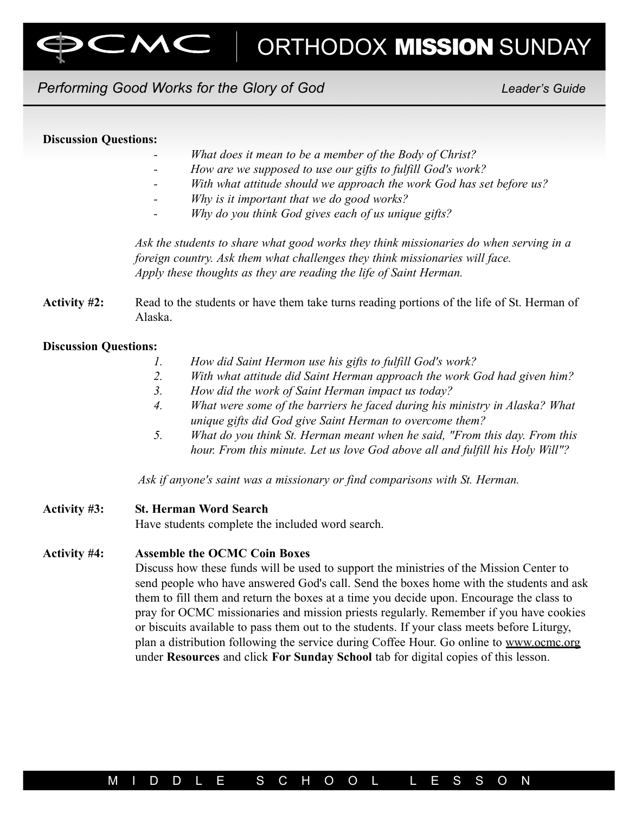

# Performing Good Works for the Glory of God New Leader's Guide

### Discussion Questions:

- What does it mean to be a member of the Body of Christ?
- How are we supposed to use our gifts to fulfill God's work?
- With what attitude should we approach the work God has set before us?
- Why is it important that we do good works?
- Why do you think God gives each of us unique gifts?

Ask the students to share what good works they think missionaries do when serving in a foreign country. Ask them what challenges they think missionaries will face. Apply these thoughts as they are reading the life of Saint Herman.

Activity #2: Read to the students or have them take turns reading portions of the life of St. Herman of Alaska.

### Discussion Questions:

- 1. How did Saint Hermon use his gifts to fulfill God's work?
- 2. With what attitude did Saint Herman approach the work God had given him?
- 3. How did the work of Saint Herman impact us today?
- 4. What were some of the barriers he faced during his ministry in Alaska? What unique gifts did God give Saint Herman to overcome them?
- 5. What do you think St. Herman meant when he said, "From this day. From this hour. From this minute. Let us love God above all and fulfill his Holy Will"?

Ask if anyone's saint was a missionary or find comparisons with St. Herman.

### Activity #3: St. Herman Word Search

Have students complete the included word search.

### Activity #4: Assemble the OCMC Coin Boxes

Discuss how these funds will be used to support the ministries of the Mission Center to send people who have answered God's call. Send the boxes home with the students and ask them to fill them and return the boxes at a time you decide upon. Encourage the class to pray for OCMC missionaries and mission priests regularly. Remember if you have cookies or biscuits available to pass them out to the students. If your class meets before Liturgy, plan a distribution following the service during Coffee Hour. Go online to www.ocmc.org under Resources and click For Sunday School tab for digital copies of this lesson.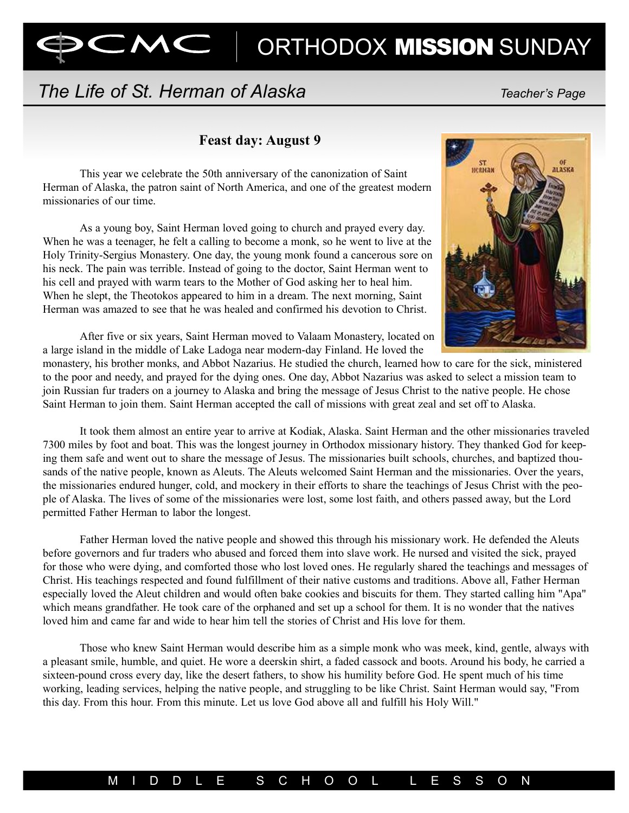# ORTHODOX **MISSION** SUNDAY

# The Life of St. Herman of Alaska The Character's Page

 $\subset$ M $\subset$ 

## Feast day: August 9

This year we celebrate the 50th anniversary of the canonization of Saint Herman of Alaska, the patron saint of North America, and one of the greatest modern missionaries of our time.

As a young boy, Saint Herman loved going to church and prayed every day. When he was a teenager, he felt a calling to become a monk, so he went to live at the Holy Trinity-Sergius Monastery. One day, the young monk found a cancerous sore on his neck. The pain was terrible. Instead of going to the doctor, Saint Herman went to his cell and prayed with warm tears to the Mother of God asking her to heal him. When he slept, the Theotokos appeared to him in a dream. The next morning, Saint Herman was amazed to see that he was healed and confirmed his devotion to Christ.



After five or six years, Saint Herman moved to Valaam Monastery, located on a large island in the middle of Lake Ladoga near modern-day Finland. He loved the

monastery, his brother monks, and Abbot Nazarius. He studied the church, learned how to care for the sick, ministered to the poor and needy, and prayed for the dying ones. One day, Abbot Nazarius was asked to select a mission team to join Russian fur traders on a journey to Alaska and bring the message of Jesus Christ to the native people. He chose Saint Herman to join them. Saint Herman accepted the call of missions with great zeal and set off to Alaska.

It took them almost an entire year to arrive at Kodiak, Alaska. Saint Herman and the other missionaries traveled 7300 miles by foot and boat. This was the longest journey in Orthodox missionary history. They thanked God for keeping them safe and went out to share the message of Jesus. The missionaries built schools, churches, and baptized thousands of the native people, known as Aleuts. The Aleuts welcomed Saint Herman and the missionaries. Over the years, the missionaries endured hunger, cold, and mockery in their efforts to share the teachings of Jesus Christ with the people of Alaska. The lives of some of the missionaries were lost, some lost faith, and others passed away, but the Lord permitted Father Herman to labor the longest.

Father Herman loved the native people and showed this through his missionary work. He defended the Aleuts before governors and fur traders who abused and forced them into slave work. He nursed and visited the sick, prayed for those who were dying, and comforted those who lost loved ones. He regularly shared the teachings and messages of Christ. His teachings respected and found fulfillment of their native customs and traditions. Above all, Father Herman especially loved the Aleut children and would often bake cookies and biscuits for them. They started calling him "Apa" which means grandfather. He took care of the orphaned and set up a school for them. It is no wonder that the natives loved him and came far and wide to hear him tell the stories of Christ and His love for them.

Those who knew Saint Herman would describe him as a simple monk who was meek, kind, gentle, always with a pleasant smile, humble, and quiet. He wore a deerskin shirt, a faded cassock and boots. Around his body, he carried a sixteen-pound cross every day, like the desert fathers, to show his humility before God. He spent much of his time working, leading services, helping the native people, and struggling to be like Christ. Saint Herman would say, "From this day. From this hour. From this minute. Let us love God above all and fulfill his Holy Will."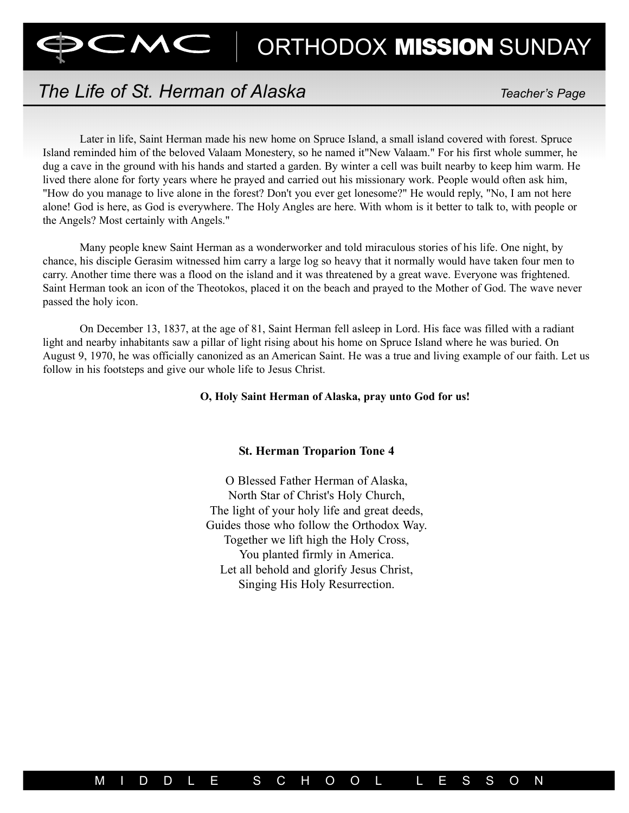

# The Life of St. Herman of Alaska The Charles Teacher's Page

Later in life, Saint Herman made his new home on Spruce Island, a small island covered with forest. Spruce Island reminded him of the beloved Valaam Monestery, so he named it"New Valaam." For his first whole summer, he dug a cave in the ground with his hands and started a garden. By winter a cell was built nearby to keep him warm. He lived there alone for forty years where he prayed and carried out his missionary work. People would often ask him, "How do you manage to live alone in the forest? Don't you ever get lonesome?" He would reply, "No, I am not here alone! God is here, as God is everywhere. The Holy Angles are here. With whom is it better to talk to, with people or the Angels? Most certainly with Angels."

Many people knew Saint Herman as a wonderworker and told miraculous stories of his life. One night, by chance, his disciple Gerasim witnessed him carry a large log so heavy that it normally would have taken four men to carry. Another time there was a flood on the island and it was threatened by a great wave. Everyone was frightened. Saint Herman took an icon of the Theotokos, placed it on the beach and prayed to the Mother of God. The wave never passed the holy icon.

On December 13, 1837, at the age of 81, Saint Herman fell asleep in Lord. His face was filled with a radiant light and nearby inhabitants saw a pillar of light rising about his home on Spruce Island where he was buried. On August 9, 1970, he was officially canonized as an American Saint. He was a true and living example of our faith. Let us follow in his footsteps and give our whole life to Jesus Christ.

### O, Holy Saint Herman of Alaska, pray unto God for us!

### St. Herman Troparion Tone 4

O Blessed Father Herman of Alaska, North Star of Christ's Holy Church, The light of your holy life and great deeds, Guides those who follow the Orthodox Way. Together we lift high the Holy Cross, You planted firmly in America. Let all behold and glorify Jesus Christ, Singing His Holy Resurrection.